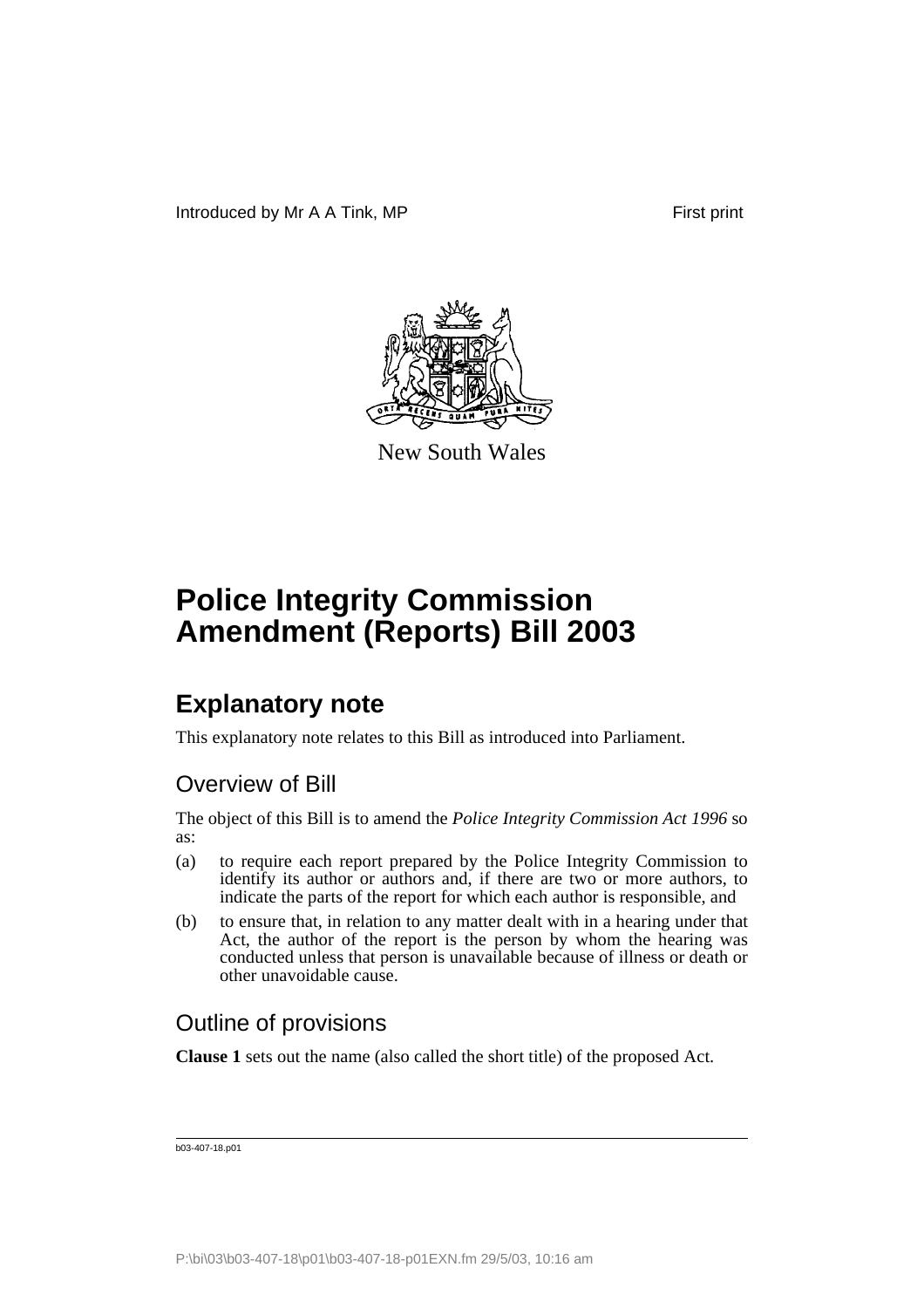

New South Wales

# **Police Integrity Commission Amendment (Reports) Bill 2003**

## **Explanatory note**

This explanatory note relates to this Bill as introduced into Parliament.

#### Overview of Bill

The object of this Bill is to amend the *Police Integrity Commission Act 1996* so as:

- (a) to require each report prepared by the Police Integrity Commission to identify its author or authors and, if there are two or more authors, to indicate the parts of the report for which each author is responsible, and
- (b) to ensure that, in relation to any matter dealt with in a hearing under that Act, the author of the report is the person by whom the hearing was conducted unless that person is unavailable because of illness or death or other unavoidable cause.

#### Outline of provisions

**Clause 1** sets out the name (also called the short title) of the proposed Act.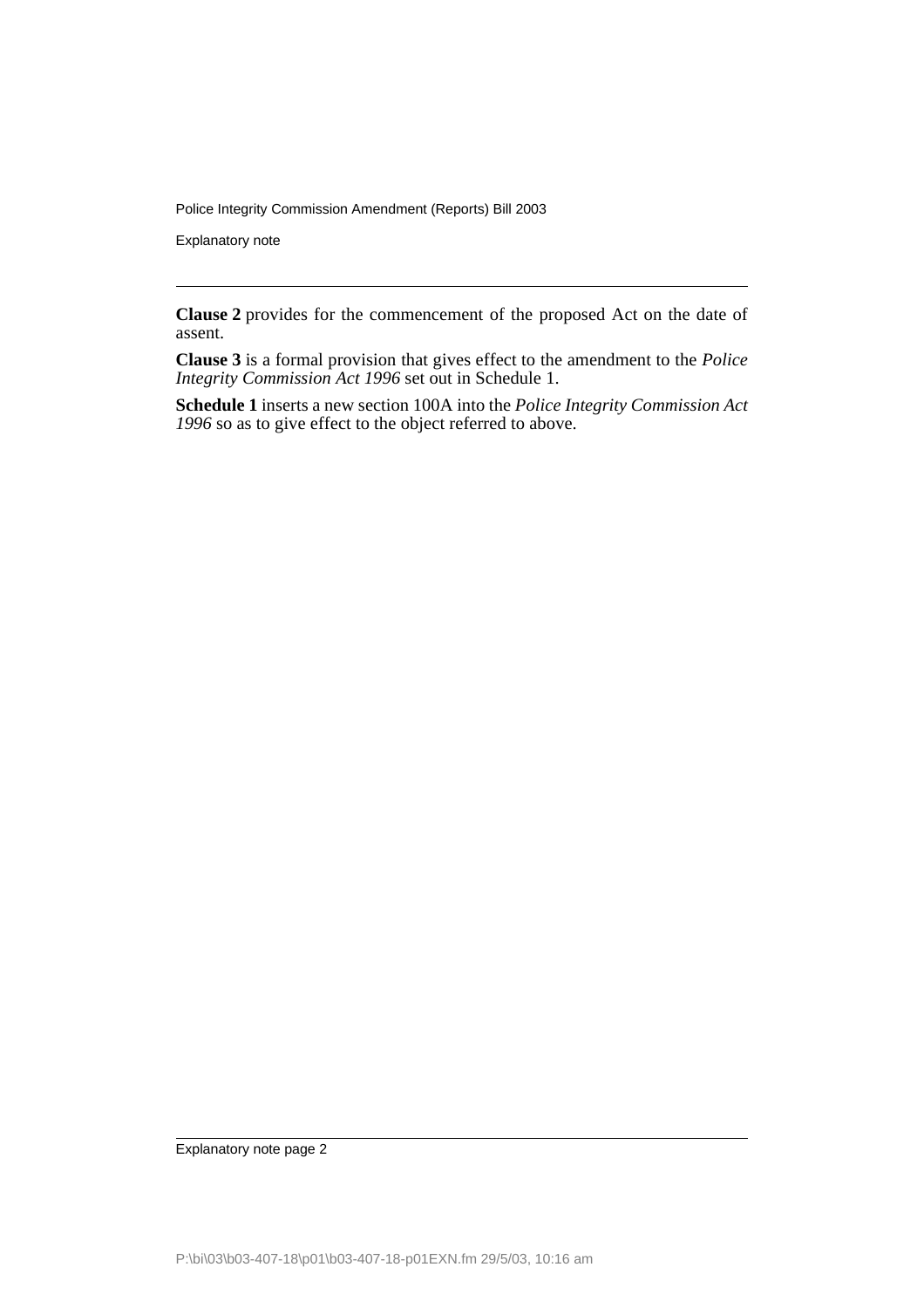Police Integrity Commission Amendment (Reports) Bill 2003

Explanatory note

**Clause 2** provides for the commencement of the proposed Act on the date of assent.

**Clause 3** is a formal provision that gives effect to the amendment to the *Police Integrity Commission Act 1996* set out in Schedule 1.

**Schedule 1** inserts a new section 100A into the *Police Integrity Commission Act 1996* so as to give effect to the object referred to above.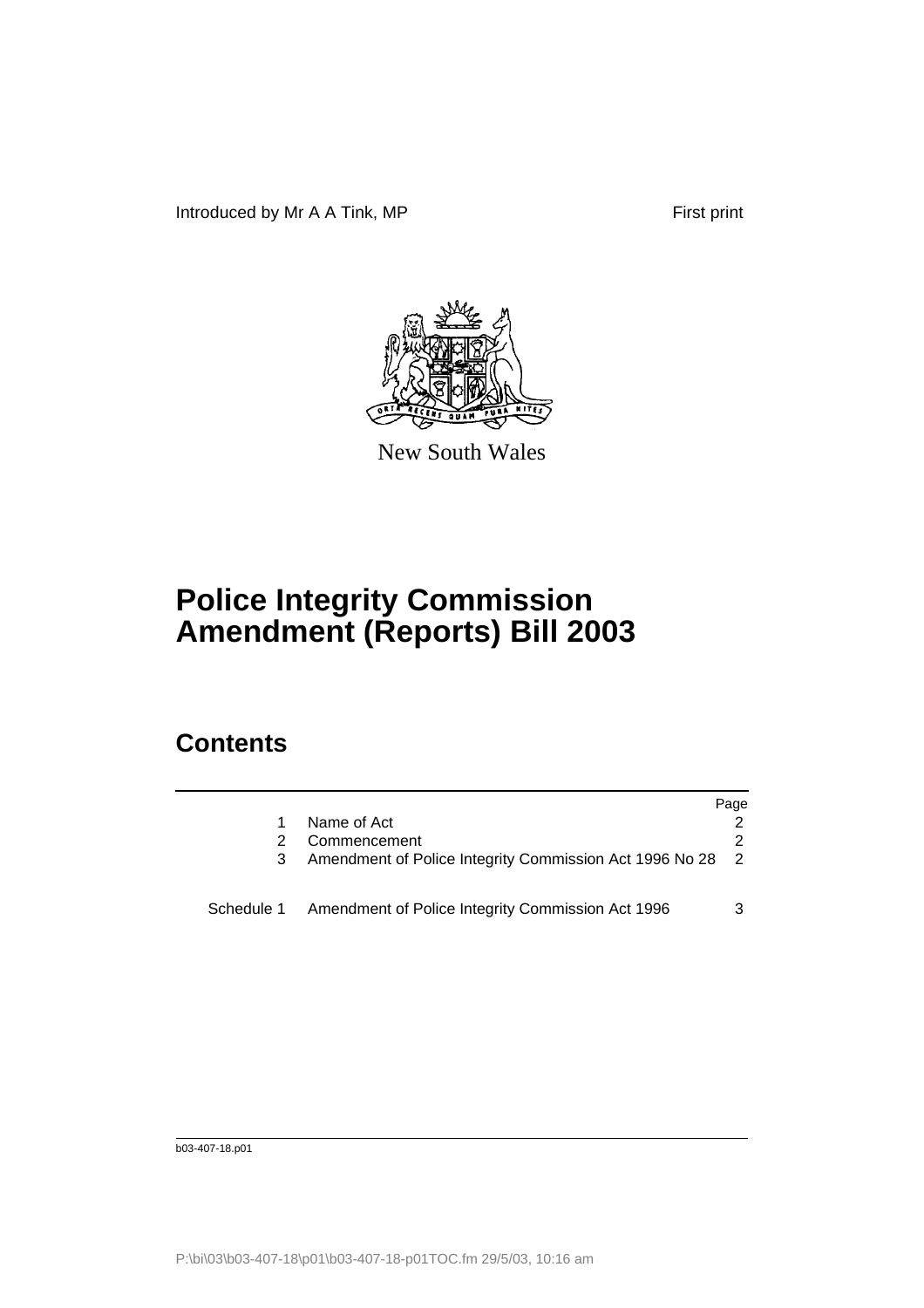Introduced by Mr A A Tink, MP First print



New South Wales

# **Police Integrity Commission Amendment (Reports) Bill 2003**

## **Contents**

|            |                                                         | Page           |
|------------|---------------------------------------------------------|----------------|
|            | Name of Act                                             |                |
|            | Commencement                                            |                |
|            | Amendment of Police Integrity Commission Act 1996 No 28 | $\overline{2}$ |
| Schedule 1 | Amendment of Police Integrity Commission Act 1996       | 3              |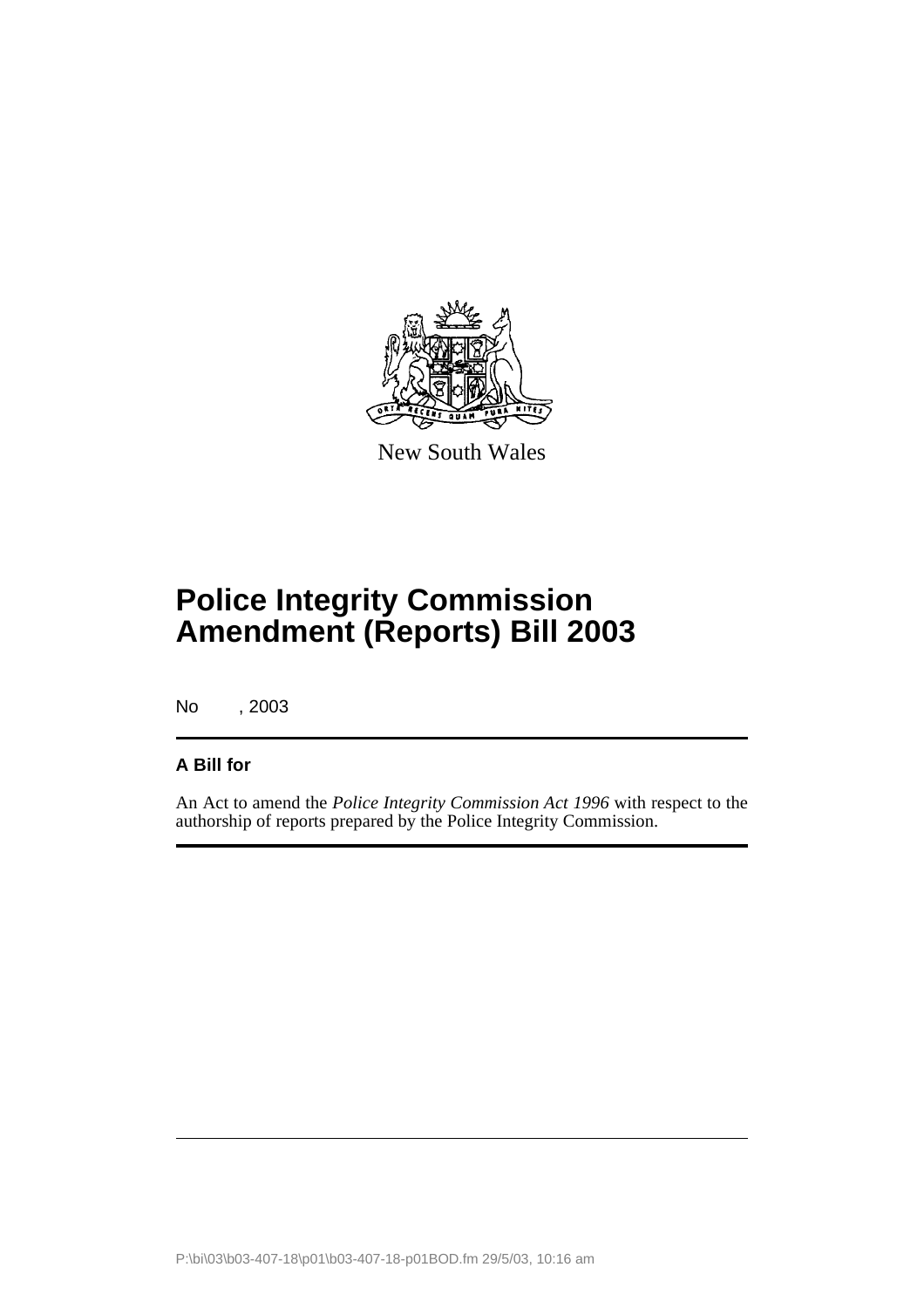

New South Wales

# **Police Integrity Commission Amendment (Reports) Bill 2003**

No , 2003

#### **A Bill for**

An Act to amend the *Police Integrity Commission Act 1996* with respect to the authorship of reports prepared by the Police Integrity Commission.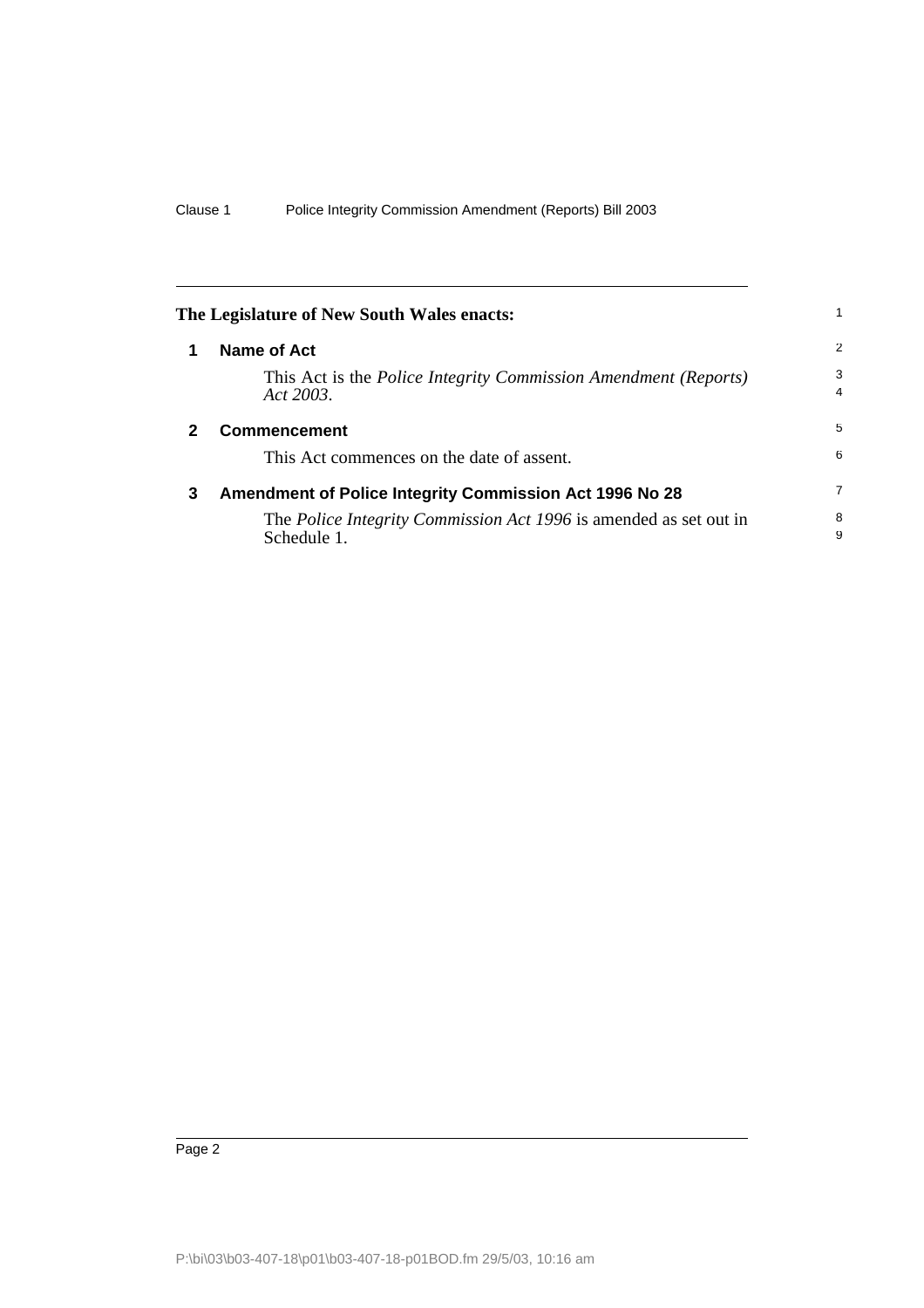<span id="page-5-2"></span><span id="page-5-1"></span><span id="page-5-0"></span>

| The Legislature of New South Wales enacts: |                                                                                              |                     |
|--------------------------------------------|----------------------------------------------------------------------------------------------|---------------------|
| 1                                          | Name of Act                                                                                  | 2                   |
|                                            | This Act is the <i>Police Integrity Commission Amendment</i> ( <i>Reports</i> )<br>Act 2003. | 3<br>$\overline{4}$ |
| 2                                          | <b>Commencement</b>                                                                          | 5                   |
|                                            | This Act commences on the date of assent.                                                    | 6                   |
| 3                                          | <b>Amendment of Police Integrity Commission Act 1996 No 28</b>                               | 7                   |
|                                            | The <i>Police Integrity Commission Act 1996</i> is amended as set out in<br>Schedule 1.      | 8<br>9              |